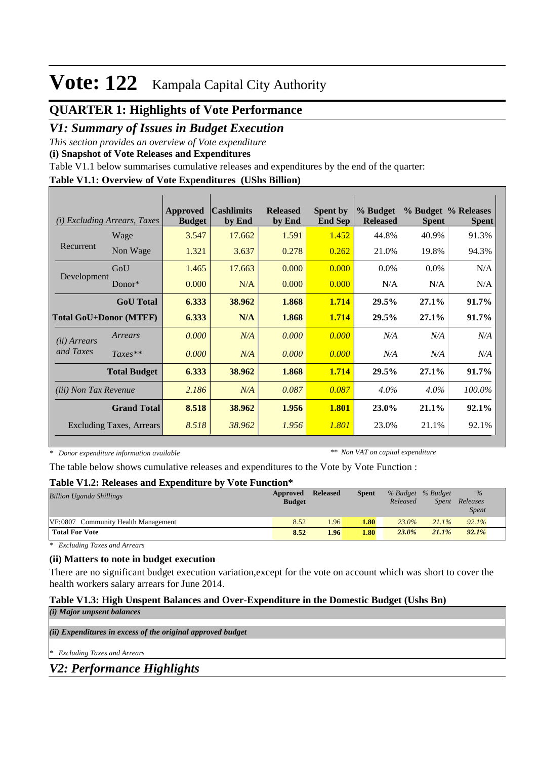## **QUARTER 1: Highlights of Vote Performance**

### *V1: Summary of Issues in Budget Execution*

*This section provides an overview of Vote expenditure* 

**(i) Snapshot of Vote Releases and Expenditures**

Table V1.1 below summarises cumulative releases and expenditures by the end of the quarter:

#### **Table V1.1: Overview of Vote Expenditures (UShs Billion)**

| (i)                          | <b>Excluding Arrears, Taxes</b> | Approved<br><b>Budget</b> | <b>Cashlimits</b><br>by End | <b>Released</b><br>by End | <b>Spent by</b><br><b>End Sep</b> | % Budget<br><b>Released</b> | <b>Spent</b> | % Budget % Releases<br><b>Spent</b> |
|------------------------------|---------------------------------|---------------------------|-----------------------------|---------------------------|-----------------------------------|-----------------------------|--------------|-------------------------------------|
|                              | Wage                            | 3.547                     | 17.662                      | 1.591                     | 1.452                             | 44.8%                       | 40.9%        | 91.3%                               |
| Recurrent                    | Non Wage                        | 1.321                     | 3.637                       | 0.278                     | 0.262                             | 21.0%                       | 19.8%        | 94.3%                               |
|                              | GoU                             | 1.465                     | 17.663                      | 0.000                     | 0.000                             | $0.0\%$                     | $0.0\%$      | N/A                                 |
| Development                  | Donor $*$                       | 0.000                     | N/A                         | 0.000                     | 0.000                             | N/A                         | N/A          | N/A                                 |
|                              | <b>GoU</b> Total                | 6.333                     | 38.962                      | 1.868                     | 1.714                             | 29.5%                       | 27.1%        | 91.7%                               |
|                              | <b>Total GoU+Donor (MTEF)</b>   | 6.333                     | N/A                         | 1.868                     | 1.714                             | 29.5%                       | 27.1%        | 91.7%                               |
| ( <i>ii</i> ) Arrears        | Arrears                         | 0.000                     | N/A                         | 0.000                     | 0.000                             | N/A                         | N/A          | N/A                                 |
| and Taxes                    | $Taxes**$                       | 0.000                     | N/A                         | 0.000                     | 0.000                             | N/A                         | N/A          | N/A                                 |
|                              | <b>Total Budget</b>             | 6.333                     | 38.962                      | 1.868                     | 1.714                             | 29.5%                       | 27.1%        | 91.7%                               |
| <i>(iii)</i> Non Tax Revenue |                                 | 2.186                     | N/A                         | 0.087                     | 0.087                             | $4.0\%$                     | $4.0\%$      | 100.0%                              |
|                              | <b>Grand Total</b>              | 8.518                     | 38.962                      | 1.956                     | 1.801                             | 23.0%                       | 21.1%        | 92.1%                               |
|                              | <b>Excluding Taxes, Arrears</b> | 8.518                     | 38.962                      | 1.956                     | 1.801                             | 23.0%                       | 21.1%        | 92.1%                               |

*\* Donor expenditure information available*

*\*\* Non VAT on capital expenditure*

The table below shows cumulative releases and expenditures to the Vote by Vote Function :

#### **Table V1.2: Releases and Expenditure by Vote Function\***

| <b>Billion Uganda Shillings</b>     | Approved<br><b>Budget</b> | <b>Released</b> | <b>Spent</b> | % Budget % Budget<br>Released | Spent    | $\%$<br>Releases<br><i>Spent</i> |  |
|-------------------------------------|---------------------------|-----------------|--------------|-------------------------------|----------|----------------------------------|--|
| VF:0807 Community Health Management | 8.52                      | .96             | 1.80         | $23.0\%$                      | $21.1\%$ | 92.1%                            |  |
| <b>Total For Vote</b>               | 8.52                      | 1.96            | 1.80         | $23.0\%$                      | $21.1\%$ | 92.1%                            |  |

*\* Excluding Taxes and Arrears*

### **(ii) Matters to note in budget execution**

There are no significant budget execution variation,except for the vote on account which was short to cover the health workers salary arrears for June 2014.

### **Table V1.3: High Unspent Balances and Over-Expenditure in the Domestic Budget (Ushs Bn)**

| ( <i>i</i> ) Major unpsent balances                         |
|-------------------------------------------------------------|
|                                                             |
| (ii) Expenditures in excess of the original approved budget |
|                                                             |
| * Excluding Taxes and Arrears                               |
| <b>V2: Performance Highlights</b>                           |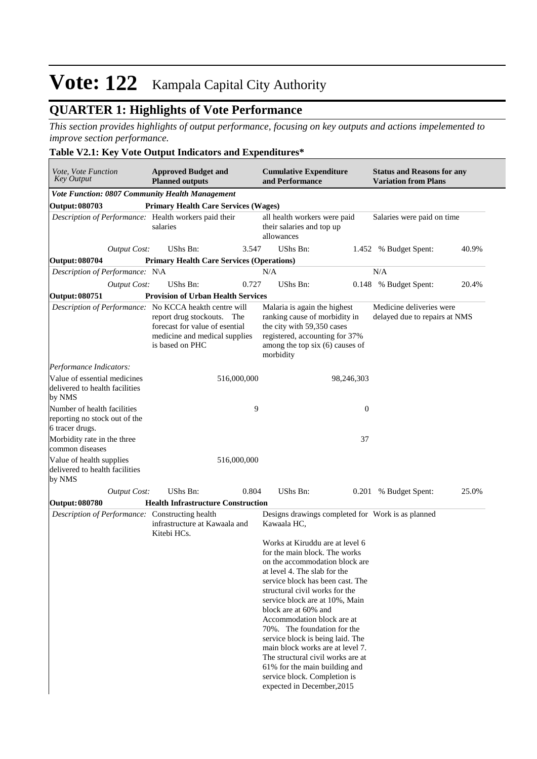## **QUARTER 1: Highlights of Vote Performance**

*This section provides highlights of output performance, focusing on key outputs and actions impelemented to improve section performance.*

### **Table V2.1: Key Vote Output Indicators and Expenditures\***

| Vote, Vote Function<br><b>Key Output</b>                                        | <b>Approved Budget and</b><br><b>Planned outputs</b>                                                                                                                       | <b>Cumulative Expenditure</b><br>and Performance                                                                                                                                                                                                                                                                                                                                                                                                                                                                                            | <b>Status and Reasons for any</b><br><b>Variation from Plans</b> |
|---------------------------------------------------------------------------------|----------------------------------------------------------------------------------------------------------------------------------------------------------------------------|---------------------------------------------------------------------------------------------------------------------------------------------------------------------------------------------------------------------------------------------------------------------------------------------------------------------------------------------------------------------------------------------------------------------------------------------------------------------------------------------------------------------------------------------|------------------------------------------------------------------|
| <b>Vote Function: 0807 Community Health Management</b>                          |                                                                                                                                                                            |                                                                                                                                                                                                                                                                                                                                                                                                                                                                                                                                             |                                                                  |
| Output: 080703                                                                  | <b>Primary Health Care Services (Wages)</b>                                                                                                                                |                                                                                                                                                                                                                                                                                                                                                                                                                                                                                                                                             |                                                                  |
| Description of Performance: Health workers paid their                           | salaries                                                                                                                                                                   | all health workers were paid<br>their salaries and top up<br>allowances                                                                                                                                                                                                                                                                                                                                                                                                                                                                     | Salaries were paid on time                                       |
| <b>Output Cost:</b>                                                             | <b>UShs Bn:</b><br>3.547                                                                                                                                                   | <b>UShs Bn:</b>                                                                                                                                                                                                                                                                                                                                                                                                                                                                                                                             | 40.9%<br>1.452 % Budget Spent:                                   |
| Output: 080704                                                                  | <b>Primary Health Care Services (Operations)</b>                                                                                                                           |                                                                                                                                                                                                                                                                                                                                                                                                                                                                                                                                             |                                                                  |
| Description of Performance: N\A                                                 |                                                                                                                                                                            | N/A                                                                                                                                                                                                                                                                                                                                                                                                                                                                                                                                         | N/A                                                              |
| <b>Output Cost:</b>                                                             | UShs Bn:<br>0.727                                                                                                                                                          | UShs Bn:                                                                                                                                                                                                                                                                                                                                                                                                                                                                                                                                    | 0.148 % Budget Spent:<br>20.4%                                   |
| Output: 080751                                                                  | <b>Provision of Urban Health Services</b>                                                                                                                                  |                                                                                                                                                                                                                                                                                                                                                                                                                                                                                                                                             |                                                                  |
|                                                                                 | Description of Performance: No KCCA heakth centre will<br>report drug stockouts. The<br>forecast for value of esential<br>medicine and medical supplies<br>is based on PHC | Malaria is again the highest<br>ranking cause of morbidity in<br>the city with 59,350 cases<br>registered, accounting for 37%<br>among the top six (6) causes of<br>morbidity                                                                                                                                                                                                                                                                                                                                                               | Medicine deliveries were<br>delayed due to repairs at NMS        |
| Performance Indicators:                                                         |                                                                                                                                                                            |                                                                                                                                                                                                                                                                                                                                                                                                                                                                                                                                             |                                                                  |
| Value of essential medicines<br>delivered to health facilities<br>by NMS        | 516,000,000                                                                                                                                                                | 98,246,303                                                                                                                                                                                                                                                                                                                                                                                                                                                                                                                                  |                                                                  |
| Number of health facilities<br>reporting no stock out of the<br>6 tracer drugs. | 9                                                                                                                                                                          | $\boldsymbol{0}$                                                                                                                                                                                                                                                                                                                                                                                                                                                                                                                            |                                                                  |
| Morbidity rate in the three<br>common diseases                                  |                                                                                                                                                                            | 37                                                                                                                                                                                                                                                                                                                                                                                                                                                                                                                                          |                                                                  |
| Value of health supplies<br>delivered to health facilities<br>by NMS            | 516,000,000                                                                                                                                                                |                                                                                                                                                                                                                                                                                                                                                                                                                                                                                                                                             |                                                                  |
| <b>Output Cost:</b>                                                             | <b>UShs Bn:</b><br>0.804                                                                                                                                                   | <b>UShs Bn:</b><br>0.201                                                                                                                                                                                                                                                                                                                                                                                                                                                                                                                    | % Budget Spent:<br>25.0%                                         |
| <b>Output: 080780</b>                                                           | <b>Health Infrastructure Construction</b>                                                                                                                                  |                                                                                                                                                                                                                                                                                                                                                                                                                                                                                                                                             |                                                                  |
| Description of Performance: Constructing health                                 | infrastructure at Kawaala and<br>Kitebi HCs.                                                                                                                               | Designs drawings completed for Work is as planned<br>Kawaala HC,                                                                                                                                                                                                                                                                                                                                                                                                                                                                            |                                                                  |
|                                                                                 |                                                                                                                                                                            | Works at Kiruddu are at level 6<br>for the main block. The works<br>on the accommodation block are<br>at level 4. The slab for the<br>service block has been cast. The<br>structural civil works for the<br>service block are at 10%, Main<br>block are at 60% and<br>Accommodation block are at<br>70%. The foundation for the<br>service block is being laid. The<br>main block works are at level 7.<br>The structural civil works are at<br>61% for the main building and<br>service block. Completion is<br>expected in December, 2015 |                                                                  |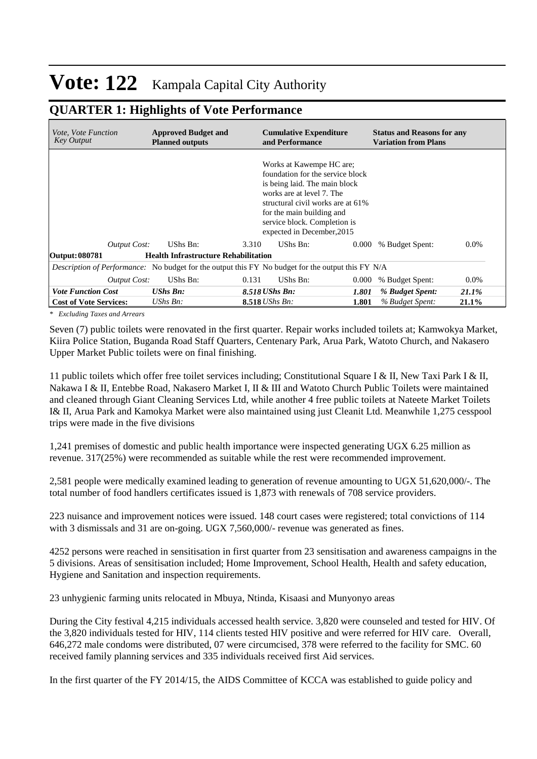### **QUARTER 1: Highlights of Vote Performance**

| <i>Vote. Vote Function</i><br>Key Output                                                                 | <b>Approved Budget and</b><br><b>Planned outputs</b> | <b>Cumulative Expenditure</b><br>and Performance                                                                                                                                                                                                           |       | <b>Status and Reasons for any</b><br><b>Variation from Plans</b> |         |
|----------------------------------------------------------------------------------------------------------|------------------------------------------------------|------------------------------------------------------------------------------------------------------------------------------------------------------------------------------------------------------------------------------------------------------------|-------|------------------------------------------------------------------|---------|
|                                                                                                          |                                                      | Works at Kawempe HC are;<br>foundation for the service block<br>is being laid. The main block<br>works are at level 7. The<br>structural civil works are at 61%<br>for the main building and<br>service block. Completion is<br>expected in December, 2015 |       |                                                                  |         |
| <b>Output Cost:</b>                                                                                      | UShs Bn:                                             | UShs Bn:<br>3.310                                                                                                                                                                                                                                          | 0.000 | % Budget Spent:                                                  | $0.0\%$ |
| Output: 080781                                                                                           | <b>Health Infrastructure Rehabilitation</b>          |                                                                                                                                                                                                                                                            |       |                                                                  |         |
| <i>Description of Performance:</i> No budget for the output this FY No budget for the output this FY N/A |                                                      |                                                                                                                                                                                                                                                            |       |                                                                  |         |
| <b>Output Cost:</b>                                                                                      | UShs Bn:                                             | 0.131<br>UShs Bn:                                                                                                                                                                                                                                          | 0.000 | % Budget Spent:                                                  | $0.0\%$ |
| <b>Vote Function Cost</b>                                                                                | <b>UShs Bn:</b>                                      | 8.518 UShs Bn:                                                                                                                                                                                                                                             | 1.801 | % Budget Spent:                                                  | 21.1%   |
| <b>Cost of Vote Services:</b>                                                                            | $UShs Bn$ :                                          | <b>8.518</b> <i>UShs Bn:</i>                                                                                                                                                                                                                               | 1.801 | % Budget Spent:                                                  | 21.1%   |

*\* Excluding Taxes and Arrears*

Seven (7) public toilets were renovated in the first quarter. Repair works included toilets at; Kamwokya Market, Kiira Police Station, Buganda Road Staff Quarters, Centenary Park, Arua Park, Watoto Church, and Nakasero Upper Market Public toilets were on final finishing.

11 public toilets which offer free toilet services including; Constitutional Square I & II, New Taxi Park I & II, Nakawa I & II, Entebbe Road, Nakasero Market I, II & III and Watoto Church Public Toilets were maintained and cleaned through Giant Cleaning Services Ltd, while another 4 free public toilets at Nateete Market Toilets I& II, Arua Park and Kamokya Market were also maintained using just Cleanit Ltd. Meanwhile 1,275 cesspool trips were made in the five divisions

1,241 premises of domestic and public health importance were inspected generating UGX 6.25 million as revenue. 317(25%) were recommended as suitable while the rest were recommended improvement.

2,581 people were medically examined leading to generation of revenue amounting to UGX 51,620,000/-. The total number of food handlers certificates issued is 1,873 with renewals of 708 service providers.

223 nuisance and improvement notices were issued. 148 court cases were registered; total convictions of 114 with 3 dismissals and 31 are on-going. UGX 7,560,000/- revenue was generated as fines.

4252 persons were reached in sensitisation in first quarter from 23 sensitisation and awareness campaigns in the 5 divisions. Areas of sensitisation included; Home Improvement, School Health, Health and safety education, Hygiene and Sanitation and inspection requirements.

23 unhygienic farming units relocated in Mbuya, Ntinda, Kisaasi and Munyonyo areas

During the City festival 4,215 individuals accessed health service. 3,820 were counseled and tested for HIV. Of the 3,820 individuals tested for HIV, 114 clients tested HIV positive and were referred for HIV care. Overall, 646,272 male condoms were distributed, 07 were circumcised, 378 were referred to the facility for SMC. 60 received family planning services and 335 individuals received first Aid services.

In the first quarter of the FY 2014/15, the AIDS Committee of KCCA was established to guide policy and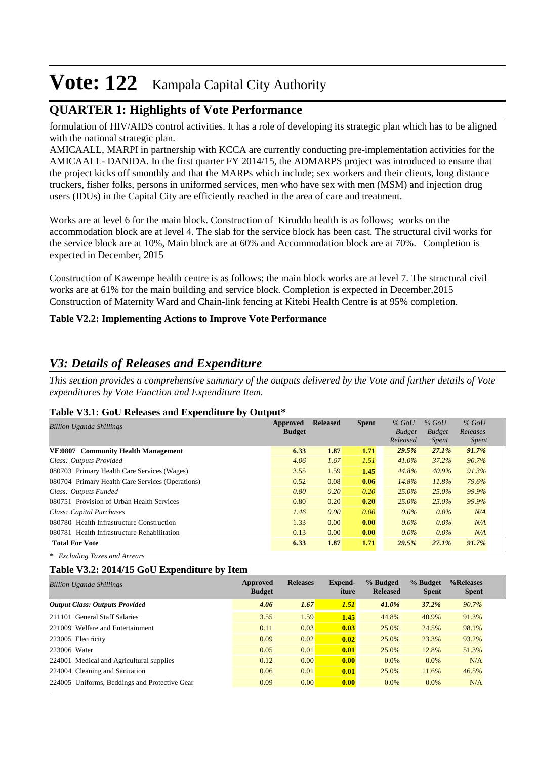## **QUARTER 1: Highlights of Vote Performance**

formulation of HIV/AIDS control activities. It has a role of developing its strategic plan which has to be aligned with the national strategic plan.

AMICAALL, MARPI in partnership with KCCA are currently conducting pre-implementation activities for the AMICAALL- DANIDA. In the first quarter FY 2014/15, the ADMARPS project was introduced to ensure that the project kicks off smoothly and that the MARPs which include; sex workers and their clients, long distance truckers, fisher folks, persons in uniformed services, men who have sex with men (MSM) and injection drug users (IDUs) in the Capital City are efficiently reached in the area of care and treatment.

Works are at level 6 for the main block. Construction of Kiruddu health is as follows; works on the accommodation block are at level 4. The slab for the service block has been cast. The structural civil works for the service block are at 10%, Main block are at 60% and Accommodation block are at 70%. Completion is expected in December, 2015

Construction of Kawempe health centre is as follows; the main block works are at level 7. The structural civil works are at 61% for the main building and service block. Completion is expected in December,2015 Construction of Maternity Ward and Chain-link fencing at Kitebi Health Centre is at 95% completion.

### **Table V2.2: Implementing Actions to Improve Vote Performance**

### *V3: Details of Releases and Expenditure*

*This section provides a comprehensive summary of the outputs delivered by the Vote and further details of Vote expenditures by Vote Function and Expenditure Item.*

#### **Table V3.1: GoU Releases and Expenditure by Output\***

| <b>Billion Uganda Shillings</b>                  | Approved<br><b>Budget</b> | <b>Released</b> | <b>Spent</b> | $%$ GoU<br><b>Budget</b><br>Released | $%$ GoU<br><b>Budget</b><br><i>Spent</i> | $%$ GoU<br>Releases<br><i>Spent</i> |
|--------------------------------------------------|---------------------------|-----------------|--------------|--------------------------------------|------------------------------------------|-------------------------------------|
| VF:0807 Community Health Management              | 6.33                      | 1.87            | 1.71         | 29.5%                                | 27.1%                                    | 91.7%                               |
| Class: Outputs Provided                          | 4.06                      | 1.67            | 1.51         | $41.0\%$                             | 37.2%                                    | 90.7%                               |
| 080703 Primary Health Care Services (Wages)      | 3.55                      | 1.59            | 1.45         | 44.8%                                | 40.9%                                    | 91.3%                               |
| 080704 Primary Health Care Services (Operations) | 0.52                      | 0.08            | 0.06         | 14.8%                                | 11.8%                                    | 79.6%                               |
| Class: Outputs Funded                            | 0.80                      | 0.20            | 0.20         | $25.0\%$                             | 25.0%                                    | 99.9%                               |
| 080751 Provision of Urban Health Services        | 0.80                      | 0.20            | 0.20         | 25.0%                                | $25.0\%$                                 | 99.9%                               |
| Class: Capital Purchases                         | 1.46                      | 0.00            | 0.00         | $0.0\%$                              | $0.0\%$                                  | N/A                                 |
| 080780 Health Infrastructure Construction        | 1.33                      | 0.00            | 0.00         | $0.0\%$                              | $0.0\%$                                  | N/A                                 |
| 080781 Health Infrastructure Rehabilitation      | 0.13                      | 0.00            | 0.00         | $0.0\%$                              | $0.0\%$                                  | N/A                                 |
| <b>Total For Vote</b>                            | 6.33                      | 1.87            | 1.71         | 29.5%                                | 27.1%                                    | 91.7%                               |

*\* Excluding Taxes and Arrears*

#### **Table V3.2: 2014/15 GoU Expenditure by Item**

| Approved<br><b>Budget</b> | <b>Releases</b> | Expend-<br>iture | % Budged<br><b>Released</b> | % Budget<br><b>Spent</b> | %Releases<br><b>Spent</b> |
|---------------------------|-----------------|------------------|-----------------------------|--------------------------|---------------------------|
| 4.06                      | 1.67            | 1.51             | 41.0%                       | 37.2%                    | 90.7%                     |
| 3.55                      | 1.59            | 1.45             | 44.8%                       | 40.9%                    | 91.3%                     |
| 0.11                      | 0.03            | 0.03             | 25.0%                       | 24.5%                    | 98.1%                     |
| 0.09                      | 0.02            | 0.02             | 25.0%                       | 23.3%                    | 93.2%                     |
| 0.05                      | 0.01            | 0.01             | 25.0%                       | 12.8%                    | 51.3%                     |
| 0.12                      | 0.00            | 0.00             | $0.0\%$                     | $0.0\%$                  | N/A                       |
| 0.06                      | 0.01            | 0.01             | 25.0%                       | 11.6%                    | 46.5%                     |
| 0.09                      | 0.00            | 0.00             | $0.0\%$                     | $0.0\%$                  | N/A                       |
|                           |                 |                  |                             |                          |                           |